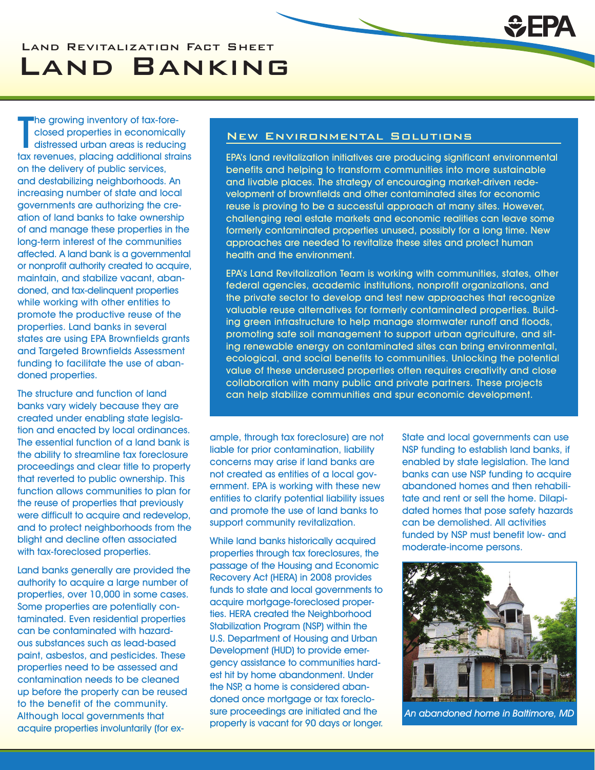# Land Revitalization Fact Sheet Land Banking

The growing inventory of tax-fore-<br>closed properties in economically<br>distressed urban areas is reducing<br>tax revenues, placing additional strains **The growing inventory of tax-fore**closed properties in economically distressed urban areas is reducing on the delivery of public services, and destabilizing neighborhoods. An increasing number of state and local governments are authorizing the creation of land banks to take ownership of and manage these properties in the long-term interest of the communities affected. A land bank is a governmental or nonprofit authority created to acquire, maintain, and stabilize vacant, abandoned, and tax-delinquent properties while working with other entities to promote the productive reuse of the properties. Land banks in several states are using EPA Brownfields grants and Targeted Brownfields Assessment funding to facilitate the use of abandoned properties.

The structure and function of land banks vary widely because they are created under enabling state legislation and enacted by local ordinances. The essential function of a land bank is the ability to streamline tax foreclosure proceedings and clear title to property that reverted to public ownership. This function allows communities to plan for the reuse of properties that previously were difficult to acquire and redevelop, and to protect neighborhoods from the blight and decline often associated with tax-foreclosed properties.

Land banks generally are provided the authority to acquire a large number of properties, over 10,000 in some cases. Some properties are potentially contaminated. Even residential properties can be contaminated with hazardous substances such as lead-based paint, asbestos, and pesticides. These properties need to be assessed and contamination needs to be cleaned up before the property can be reused to the benefit of the community. Although local governments that acquire properties involuntarily (for ex-

# New Environmental Solutions

EPA's land revitalization initiatives are producing significant environmental benefits and helping to transform communities into more sustainable and livable places. The strategy of encouraging market-driven redevelopment of brownfields and other contaminated sites for economic reuse is proving to be a successful approach at many sites. However, challenging real estate markets and economic realities can leave some formerly contaminated properties unused, possibly for a long time. New approaches are needed to revitalize these sites and protect human health and the environment.

EPA's Land Revitalization Team is working with communities, states, other federal agencies, academic institutions, nonprofit organizations, and the private sector to develop and test new approaches that recognize valuable reuse alternatives for formerly contaminated properties. Building green infrastructure to help manage stormwater runoff and floods, promoting safe soil management to support urban agriculture, and siting renewable energy on contaminated sites can bring environmental, ecological, and social benefits to communities. Unlocking the potential value of these underused properties often requires creativity and close collaboration with many public and private partners. These projects can help stabilize communities and spur economic development.

ample, through tax foreclosure) are not liable for prior contamination, liability concerns may arise if land banks are not created as entities of a local government. EPA is working with these new entities to clarify potential liability issues and promote the use of land banks to support community revitalization.

While land banks historically acquired properties through tax foreclosures, the passage of the Housing and Economic Recovery Act (HERA) in 2008 provides funds to state and local governments to acquire mortgage-foreclosed properties. HERA created the Neighborhood Stabilization Program (NSP) within the U.S. Department of Housing and Urban Development (HUD) to provide emergency assistance to communities hardest hit by home abandonment. Under the NSP, a home is considered abandoned once mortgage or tax foreclosure proceedings are initiated and the property is vacant for 90 days or longer. State and local governments can use NSP funding to establish land banks, if enabled by state legislation. The land banks can use NSP funding to acquire abandoned homes and then rehabilitate and rent or sell the home. Dilapidated homes that pose safety hazards can be demolished. All activities funded by NSP must benefit low- and moderate-income persons.



An abandoned home in Baltimore, MD